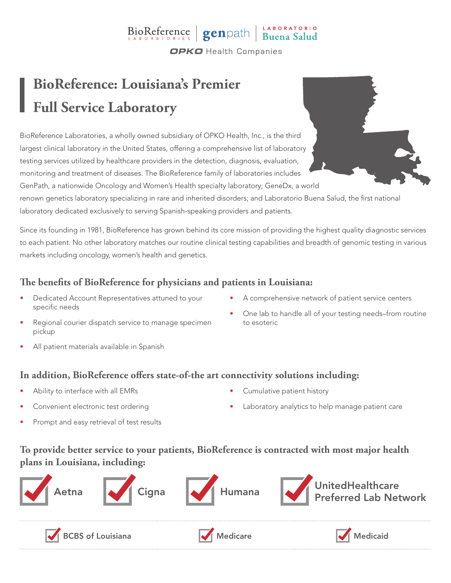# BioReference genpath Buena Salud

**OPKO** Health Companies

# **BioReference: Louisiana's Premier Full Service Laboratory**

BioReference Laboratories, a wholly owned subsidiary of OPKO Health, Inc., is the third largest clinical laboratory in the United States, offering a comprehensive list of laboratory testing services utilized by healthcare providers in the detection, diagnosis, evaluation, monitoring and treatment of diseases. The BioReference family of laboratories includes GenPath, a nationwide Oncology and Women's Health specialty laboratory; GeneDx, a world

renown genetics laboratory specializing in rare and inherited disorders; and Laboratorio Buena Salud, the first national laboratory dedicated exclusively to serving Spanish-speaking providers and patients.

Since its founding in 1981, BioReference has grown behind its core mission of providing the highest quality diagnostic services to each patient. No other laboratory matches our routine clinical testing capabilities and breadth of genomic testing in various markets including oncology, women's health and genetics.

### **The benefits of BioReference for physicians and patients in Louisiana:**

- Dedicated Account Representatives attuned to your specific needs
- A comprehensive network of patient service centers
- Regional courier dispatch service to manage specimen pickup
- One lab to handle all of your testing needs–from routine to esoteric

All patient materials available in Spanish

#### **In addition, BioReference offers state-of-the art connectivity solutions including:**

- Ability to interface with all EMRs
- Convenient electronic test ordering
- Prompt and easy retrieval of test results
- Cumulative patient history
- Laboratory analytics to help manage patient care

### **To provide better service to your patients, BioReference is contracted with most major health plans in Louisiana, including:**